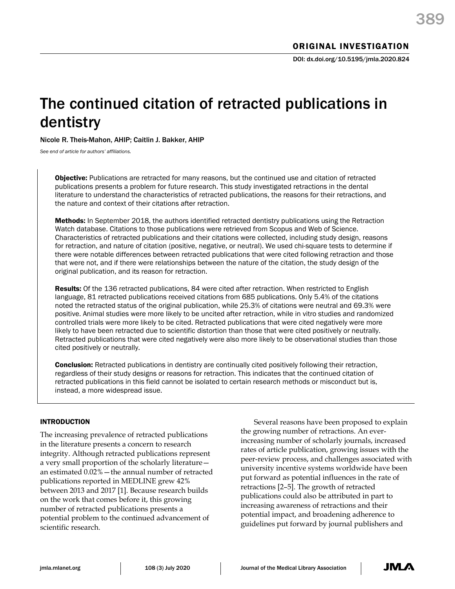# The continued citation of retracted publications in dentistry

Nicole R. Theis-Mahon, AHIP; Caitlin J. Bakker, AHIP

*See end of article for authors' affiliations.*

**Objective:** Publications are retracted for many reasons, but the continued use and citation of retracted publications presents a problem for future research. This study investigated retractions in the dental literature to understand the characteristics of retracted publications, the reasons for their retractions, and the nature and context of their citations after retraction.

Methods: In September 2018, the authors identified retracted dentistry publications using the Retraction Watch database. Citations to those publications were retrieved from Scopus and Web of Science. Characteristics of retracted publications and their citations were collected, including study design, reasons for retraction, and nature of citation (positive, negative, or neutral). We used chi-square tests to determine if there were notable differences between retracted publications that were cited following retraction and those that were not, and if there were relationships between the nature of the citation, the study design of the original publication, and its reason for retraction.

Results: Of the 136 retracted publications, 84 were cited after retraction. When restricted to English language, 81 retracted publications received citations from 685 publications. Only 5.4% of the citations noted the retracted status of the original publication, while 25.3% of citations were neutral and 69.3% were positive. Animal studies were more likely to be uncited after retraction, while in vitro studies and randomized controlled trials were more likely to be cited. Retracted publications that were cited negatively were more likely to have been retracted due to scientific distortion than those that were cited positively or neutrally. Retracted publications that were cited negatively were also more likely to be observational studies than those cited positively or neutrally.

**Conclusion:** Retracted publications in dentistry are continually cited positively following their retraction, regardless of their study designs or reasons for retraction. This indicates that the continued citation of retracted publications in this field cannot be isolated to certain research methods or misconduct but is, instead, a more widespread issue.

# INTRODUCTION

The increasing prevalence of retracted publications in the literature presents a concern to research integrity. Although retracted publications represent a very small proportion of the scholarly literature an estimated 0.02%—the annual number of retracted publications reported in MEDLINE grew 42% between 2013 and 2017 [1]. Because research builds on the work that comes before it, this growing number of retracted publications presents a potential problem to the continued advancement of scientific research.

Several reasons have been proposed to explain the growing number of retractions. An everincreasing number of scholarly journals, increased rates of article publication, growing issues with the peer-review process, and challenges associated with university incentive systems worldwide have been put forward as potential influences in the rate of retractions [2–5]. The growth of retracted publications could also be attributed in part to increasing awareness of retractions and their potential impact, and broadening adherence to guidelines put forward by journal publishers and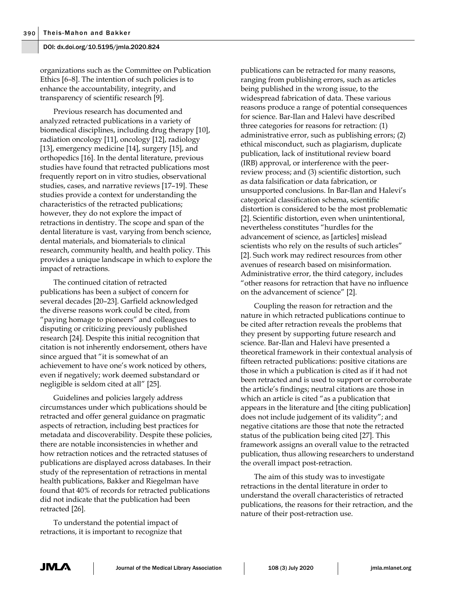organizations such as the Committee on Publication Ethics [6–8]. The intention of such policies is to enhance the accountability, integrity, and transparency of scientific research [9].

Previous research has documented and analyzed retracted publications in a variety of biomedical disciplines, including drug therapy [10], radiation oncology [11], oncology [12], radiology [13], emergency medicine [14], surgery [15], and orthopedics [16]. In the dental literature, previous studies have found that retracted publications most frequently report on in vitro studies, observational studies, cases, and narrative reviews [17–19]. These studies provide a context for understanding the characteristics of the retracted publications; however, they do not explore the impact of retractions in dentistry. The scope and span of the dental literature is vast, varying from bench science, dental materials, and biomaterials to clinical research, community health, and health policy. This provides a unique landscape in which to explore the impact of retractions.

The continued citation of retracted publications has been a subject of concern for several decades [20–23]. Garfield acknowledged the diverse reasons work could be cited, from "paying homage to pioneers" and colleagues to disputing or criticizing previously published research [24]. Despite this initial recognition that citation is not inherently endorsement, others have since argued that "it is somewhat of an achievement to have one's work noticed by others, even if negatively; work deemed substandard or negligible is seldom cited at all" [25].

Guidelines and policies largely address circumstances under which publications should be retracted and offer general guidance on pragmatic aspects of retraction, including best practices for metadata and discoverability. Despite these policies, there are notable inconsistencies in whether and how retraction notices and the retracted statuses of publications are displayed across databases. In their study of the representation of retractions in mental health publications, Bakker and Riegelman have found that 40% of records for retracted publications did not indicate that the publication had been retracted [26].

To understand the potential impact of retractions, it is important to recognize that

publications can be retracted for many reasons, ranging from publishing errors, such as articles being published in the wrong issue, to the widespread fabrication of data. These various reasons produce a range of potential consequences for science. Bar-Ilan and Halevi have described three categories for reasons for retraction: (1) administrative error, such as publishing errors; (2) ethical misconduct, such as plagiarism, duplicate publication, lack of institutional review board (IRB) approval, or interference with the peerreview process; and (3) scientific distortion, such as data falsification or data fabrication, or unsupported conclusions. In Bar-Ilan and Halevi's categorical classification schema, scientific distortion is considered to be the most problematic [2]. Scientific distortion, even when unintentional, nevertheless constitutes "hurdles for the advancement of science, as [articles] mislead scientists who rely on the results of such articles" [2]. Such work may redirect resources from other avenues of research based on misinformation. Administrative error, the third category, includes "other reasons for retraction that have no influence on the advancement of science" [2].

Coupling the reason for retraction and the nature in which retracted publications continue to be cited after retraction reveals the problems that they present by supporting future research and science. Bar-Ilan and Halevi have presented a theoretical framework in their contextual analysis of fifteen retracted publications: positive citations are those in which a publication is cited as if it had not been retracted and is used to support or corroborate the article's findings; neutral citations are those in which an article is cited "as a publication that appears in the literature and [the citing publication] does not include judgement of its validity"; and negative citations are those that note the retracted status of the publication being cited [27]. This framework assigns an overall value to the retracted publication, thus allowing researchers to understand the overall impact post-retraction.

The aim of this study was to investigate retractions in the dental literature in order to understand the overall characteristics of retracted publications, the reasons for their retraction, and the nature of their post-retraction use.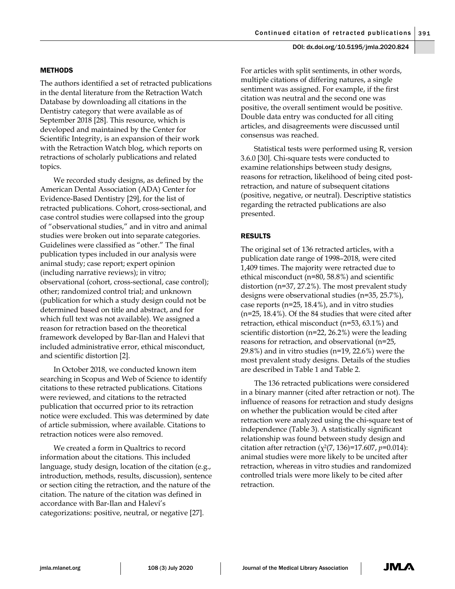# METHODS

The authors identified a set of retracted publications in the dental literature from the Retraction Watch Database by downloading all citations in the Dentistry category that were available as of September 2018 [28]. This resource, which is developed and maintained by the Center for Scientific Integrity, is an expansion of their work with the Retraction Watch blog, which reports on retractions of scholarly publications and related topics.

We recorded study designs, as defined by the American Dental Association (ADA) Center for Evidence-Based Dentistry [29], for the list of retracted publications. Cohort, cross-sectional, and case control studies were collapsed into the group of "observational studies," and in vitro and animal studies were broken out into separate categories. Guidelines were classified as "other." The final publication types included in our analysis were animal study; case report; expert opinion (including narrative reviews); in vitro; observational (cohort, cross-sectional, case control); other; randomized control trial; and unknown (publication for which a study design could not be determined based on title and abstract, and for which full text was not available). We assigned a reason for retraction based on the theoretical framework developed by Bar-Ilan and Halevi that included administrative error, ethical misconduct, and scientific distortion [2].

In October 2018, we conducted known item searching in Scopus and Web of Science to identify citations to these retracted publications. Citations were reviewed, and citations to the retracted publication that occurred prior to its retraction notice were excluded. This was determined by date of article submission, where available. Citations to retraction notices were also removed.

We created a form in Qualtrics to record information about the citations. This included language, study design, location of the citation (e.g., introduction, methods, results, discussion), sentence or section citing the retraction, and the nature of the citation. The nature of the citation was defined in accordance with Bar-Ilan and Halevi's categorizations: positive, neutral, or negative [27].

For articles with split sentiments, in other words, multiple citations of differing natures, a single sentiment was assigned. For example, if the first citation was neutral and the second one was positive, the overall sentiment would be positive. Double data entry was conducted for all citing articles, and disagreements were discussed until consensus was reached.

Statistical tests were performed using R, version 3.6.0 [30]. Chi-square tests were conducted to examine relationships between study designs, reasons for retraction, likelihood of being cited postretraction, and nature of subsequent citations (positive, negative, or neutral). Descriptive statistics regarding the retracted publications are also presented.

# RESULTS

The original set of 136 retracted articles, with a publication date range of 1998–2018, were cited 1,409 times. The majority were retracted due to ethical misconduct (n=80, 58.8%) and scientific distortion (n=37, 27.2%). The most prevalent study designs were observational studies (n=35, 25.7%), case reports (n=25, 18.4%), and in vitro studies (n=25, 18.4%). Of the 84 studies that were cited after retraction, ethical misconduct (n=53, 63.1%) and scientific distortion (n=22, 26.2%) were the leading reasons for retraction, and observational (n=25, 29.8%) and in vitro studies (n=19, 22.6%) were the most prevalent study designs. Details of the studies are described in Table 1 and Table 2.

The 136 retracted publications were considered in a binary manner (cited after retraction or not). The influence of reasons for retraction and study designs on whether the publication would be cited after retraction were analyzed using the chi-square test of independence (Table 3). A statistically significant relationship was found between study design and citation after retraction  $(\chi^2(7, 136)=17.607, p=0.014)$ : animal studies were more likely to be uncited after retraction, whereas in vitro studies and randomized controlled trials were more likely to be cited after retraction.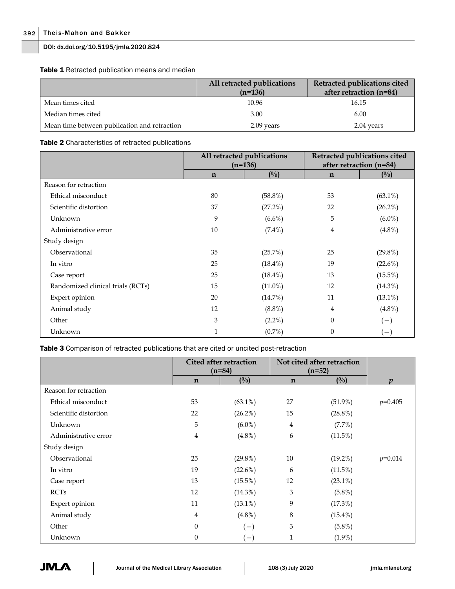Table 1 Retracted publication means and median

|                                              | All retracted publications<br>$(n=136)$ | Retracted publications cited<br>after retraction (n=84) |
|----------------------------------------------|-----------------------------------------|---------------------------------------------------------|
| Mean times cited                             | 10.96                                   | 16.15                                                   |
| Median times cited                           | 3.00                                    | 6.00                                                    |
| Mean time between publication and retraction | 2.09 years                              | 2.04 years                                              |

# Table 2 Characteristics of retracted publications

|                                   |              | All retracted publications<br>$(n=136)$ | Retracted publications cited<br>after retraction (n=84) |                |
|-----------------------------------|--------------|-----------------------------------------|---------------------------------------------------------|----------------|
|                                   | $\mathbf n$  | $\binom{0}{0}$                          | $\mathbf n$                                             | $\binom{0}{0}$ |
| Reason for retraction             |              |                                         |                                                         |                |
| Ethical misconduct                | 80           | $(58.8\%)$                              | 53                                                      | $(63.1\%)$     |
| Scientific distortion             | 37           | (27.2%)                                 | 22                                                      | $(26.2\%)$     |
| Unknown                           | 9            | $(6.6\%)$                               | 5                                                       | $(6.0\%)$      |
| Administrative error              | 10           | $(7.4\%)$                               | 4                                                       | $(4.8\%)$      |
| Study design                      |              |                                         |                                                         |                |
| Observational                     | 35           | (25.7%)                                 | 25                                                      | $(29.8\%)$     |
| In vitro                          | 25           | $(18.4\%)$                              | 19                                                      | (22.6%)        |
| Case report                       | 25           | $(18.4\%)$                              | 13                                                      | $(15.5\%)$     |
| Randomized clinical trials (RCTs) | 15           | $(11.0\%)$                              | 12                                                      | $(14.3\%)$     |
| Expert opinion                    | 20           | (14.7%)                                 | 11                                                      | $(13.1\%)$     |
| Animal study                      | 12           | $(8.8\%)$                               | 4                                                       | $(4.8\%)$      |
| Other                             | 3            | $(2.2\%)$                               | $\mathbf{0}$                                            | $(-)$          |
| Unknown                           | $\mathbf{1}$ | $(0.7\%)$                               | $\boldsymbol{0}$                                        | $(-)$          |

Table 3 Comparison of retracted publications that are cited or uncited post-retraction

|                       |             | Cited after retraction<br>$(n=84)$ |                | Not cited after retraction<br>$(n=52)$ |                  |
|-----------------------|-------------|------------------------------------|----------------|----------------------------------------|------------------|
|                       | $\mathbf n$ | (0/0)                              | $\mathbf n$    | (0/0)                                  | $\boldsymbol{v}$ |
| Reason for retraction |             |                                    |                |                                        |                  |
| Ethical misconduct    | 53          | $(63.1\%)$                         | 27             | $(51.9\%)$                             | $p=0.405$        |
| Scientific distortion | 22          | $(26.2\%)$                         | 15             | $(28.8\%)$                             |                  |
| Unknown               | 5           | $(6.0\%)$                          | $\overline{4}$ | $(7.7\%)$                              |                  |
| Administrative error  | 4           | $(4.8\%)$                          | 6              | (11.5%)                                |                  |
| Study design          |             |                                    |                |                                        |                  |
| Observational         | 25          | $(29.8\%)$                         | 10             | $(19.2\%)$                             | $p=0.014$        |
| In vitro              | 19          | $(22.6\%)$                         | 6              | $(11.5\%)$                             |                  |
| Case report           | 13          | $(15.5\%)$                         | 12             | $(23.1\%)$                             |                  |
| <b>RCTs</b>           | 12          | $(14.3\%)$                         | 3              | $(5.8\%)$                              |                  |
| Expert opinion        | 11          | $(13.1\%)$                         | 9              | (17.3%)                                |                  |
| Animal study          | 4           | $(4.8\%)$                          | 8              | $(15.4\%)$                             |                  |
| Other                 | $\theta$    | $(-)$                              | 3              | $(5.8\%)$                              |                  |
| Unknown               | 0           | $\left( -\right)$                  | 1              | $(1.9\%)$                              |                  |

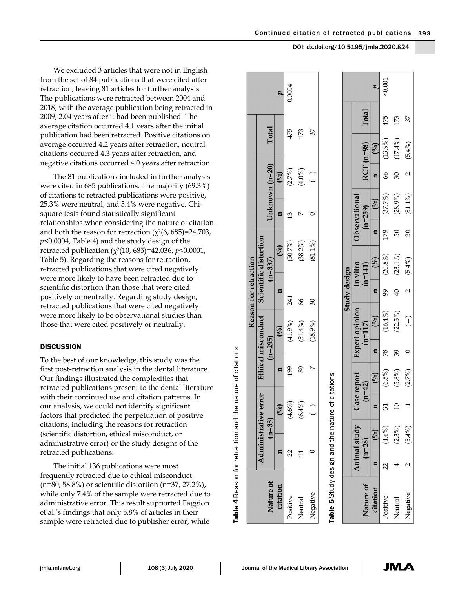We excluded 3 articles that were not in English from the set of 84 publications that were cited after retraction, leaving 81 articles for further analysis. The publications were retracted between 2004 and 2018, with the average publication being retracted in 2009, 2.04 years after it had been published. The average citation occurred 4.1 years after the initial publication had been retracted. Positive citations on average occurred 4.2 years after retraction, neutral citations occurred 4.3 years after retraction, and negative citations occurred 4.0 years after retraction.

The 81 publications included in further analysis were cited in 685 publications. The majority (69.3%) of citations to retracted publications were positive, 25.3% were neutral, and 5.4% were negative. Chisquare tests found statistically significant relationships when considering the nature of citation and both the reason for retraction  $(\chi^2(6, 685)=24.703,$ *p*<0.0004, Table 4) and the study design of the retracted publication (χ2(10, 685)=42.036, *p*<0.0001, Table 5). Regarding the reasons for retraction, retracted publications that were cited negatively were more likely to have been retracted due to scientific distortion than those that were cited positively or neutrally. Regarding study design, retracted publications that were cited negatively were more likely to be observational studies than those that were cited positively or neutrally.

# **DISCUSSION**

To the best of our knowledge, this study was the first post-retraction analysis in the dental literature. Our findings illustrated the complexities that retracted publications present to the dental literature with their continued use and citation patterns. In our analysis, we could not identify significant factors that predicted the perpetuation of positive citations, including the reasons for retraction (scientific distortion, ethical misconduct, or administrative error) or the study designs of the retracted publications.

The initial 136 publications were most frequently retracted due to ethical misconduct (n=80, 58.8%) or scientific distortion (n=37, 27.2%), while only 7.4% of the sample were retracted due to administrative error. This result supported Faggion et al.'s findings that only 5.8% of articles in their sample were retracted due to publisher error, while

|                       |               |                                        |                 |                   |              |                       |                | Reason for retraction              |     |                             |                     |                        |       |                  |
|-----------------------|---------------|----------------------------------------|-----------------|-------------------|--------------|-----------------------|----------------|------------------------------------|-----|-----------------------------|---------------------|------------------------|-------|------------------|
| Nature of             |               | Administrative error<br>$(n=33)$       |                 |                   | $(n=295)$    | Ethical misconduct    |                | Scientific distortion<br>$(n=337)$ |     | Unknown (n=20)              |                     | Total                  |       |                  |
| citation              | ี่¤           |                                        | (0/0)           | Ξ                 |              | (2)                   | H              | (%)                                |     | E                           | (9/6)               |                        |       | $\boldsymbol{a}$ |
|                       | 22            |                                        | $(4.6\%)$       | 199               |              | $(41.9\%)$            | 241            | (50.7%)                            |     | $\mathfrak{L}$              | (2.7%)              | 475                    |       | 0.0004           |
|                       |               |                                        | $(6.4\%)$       | 89                |              | $(51.4\%)$            | 99             | $(38.2\%)$                         |     |                             | $(4.0\%)$           | 173                    |       |                  |
| Negative              |               |                                        | $\overline{1}$  |                   |              | $(18.9\%)$            | 30             | $(81.1\%)$                         |     |                             | $\widehat{\bot}$    | 37                     |       |                  |
|                       |               | Table 5 Study design and the nature of |                 |                   |              |                       | Study design   |                                    |     |                             |                     |                        |       |                  |
|                       |               | Animal study                           | Case report     |                   |              | <b>Expert opinion</b> |                | In vitro                           |     | Observational               |                     |                        |       |                  |
| Nature of<br>citation | $(n=28)$<br>Ξ | $($ % $)$                              | $(n=42)$<br>n   | $( \frac{6}{9} )$ | $\mathbf{a}$ | (0/0)<br>$(n=117)$    | $\mathbf{a}$   | $\binom{0}{0}$<br>$(n=141)$        | д   | $\binom{0}{0}$<br>$(n=259)$ | n                   | $RCT$ (n=98)<br>$(\%)$ | Total |                  |
|                       | $\approx$     | $(4.6\%)$                              | 31              | $(6.5\%)$         | 78           | $(16.4\%)$            | 99             | $(20.8\%)$                         | 179 | (37.7%)                     | 89                  | $(13.9\%)$             | 475   | 0.001            |
|                       |               | $(2.3\%)$                              | $\overline{10}$ | $(5.8\%)$         | 39           | $(22.5\%)$            | $\overline{4}$ | $(23.1\%)$                         | 50  | $(28.9\%)$                  | $\overline{\omega}$ | $(17.4\%)$             | 173   |                  |

Table 4Reason for retraction and the nature of citations Negative 2 (5.4%) 1 (2.7%) 1 (2.7%) 0 0 (2.7%) 1 (3.7%) 37

 $\begin{array}{c} \hline \end{array}$ 

 $\subset$ 

7%)  $\overline{G}$ 

 $\blacksquare$ 

 $4\%$ زما

 $\sim$ 

Negative

37

 $4%$ ்

 $\sim$ 

 $\approx$  $\overline{81}$ 

 $\mathcal{S}$ 

 $4\%$ ſΟ

 $\sim$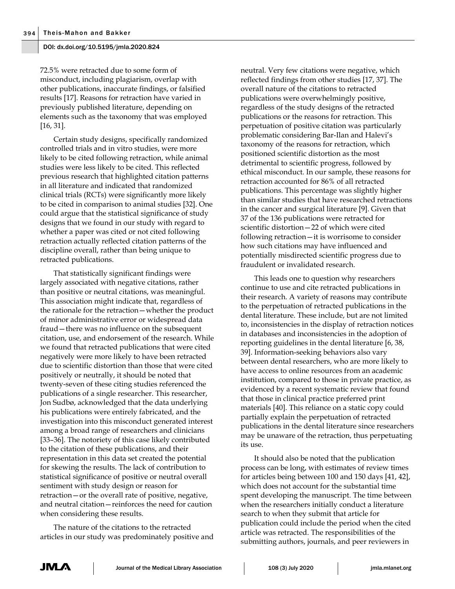72.5% were retracted due to some form of misconduct, including plagiarism, overlap with other publications, inaccurate findings, or falsified results [17]. Reasons for retraction have varied in previously published literature, depending on elements such as the taxonomy that was employed [16, 31].

Certain study designs, specifically randomized controlled trials and in vitro studies, were more likely to be cited following retraction, while animal studies were less likely to be cited. This reflected previous research that highlighted citation patterns in all literature and indicated that randomized clinical trials (RCTs) were significantly more likely to be cited in comparison to animal studies [32]. One could argue that the statistical significance of study designs that we found in our study with regard to whether a paper was cited or not cited following retraction actually reflected citation patterns of the discipline overall, rather than being unique to retracted publications.

That statistically significant findings were largely associated with negative citations, rather than positive or neutral citations, was meaningful. This association might indicate that, regardless of the rationale for the retraction—whether the product of minor administrative error or widespread data fraud—there was no influence on the subsequent citation, use, and endorsement of the research. While we found that retracted publications that were cited negatively were more likely to have been retracted due to scientific distortion than those that were cited positively or neutrally, it should be noted that twenty-seven of these citing studies referenced the publications of a single researcher. This researcher, Jon Sudbø, acknowledged that the data underlying his publications were entirely fabricated, and the investigation into this misconduct generated interest among a broad range of researchers and clinicians [33–36]. The notoriety of this case likely contributed to the citation of these publications, and their representation in this data set created the potential for skewing the results. The lack of contribution to statistical significance of positive or neutral overall sentiment with study design or reason for retraction—or the overall rate of positive, negative, and neutral citation—reinforces the need for caution when considering these results.

The nature of the citations to the retracted articles in our study was predominately positive and neutral. Very few citations were negative, which reflected findings from other studies [17, 37]. The overall nature of the citations to retracted publications were overwhelmingly positive, regardless of the study designs of the retracted publications or the reasons for retraction. This perpetuation of positive citation was particularly problematic considering Bar-Ilan and Halevi's taxonomy of the reasons for retraction, which positioned scientific distortion as the most detrimental to scientific progress, followed by ethical misconduct. In our sample, these reasons for retraction accounted for 86% of all retracted publications. This percentage was slightly higher than similar studies that have researched retractions in the cancer and surgical literature [9]. Given that 37 of the 136 publications were retracted for scientific distortion—22 of which were cited following retraction—it is worrisome to consider how such citations may have influenced and potentially misdirected scientific progress due to fraudulent or invalidated research.

This leads one to question why researchers continue to use and cite retracted publications in their research. A variety of reasons may contribute to the perpetuation of retracted publications in the dental literature. These include, but are not limited to, inconsistencies in the display of retraction notices in databases and inconsistencies in the adoption of reporting guidelines in the dental literature [6, 38, 39]. Information-seeking behaviors also vary between dental researchers, who are more likely to have access to online resources from an academic institution, compared to those in private practice, as evidenced by a recent systematic review that found that those in clinical practice preferred print materials [40]. This reliance on a static copy could partially explain the perpetuation of retracted publications in the dental literature since researchers may be unaware of the retraction, thus perpetuating its use.

It should also be noted that the publication process can be long, with estimates of review times for articles being between 100 and 150 days [41, 42], which does not account for the substantial time spent developing the manuscript. The time between when the researchers initially conduct a literature search to when they submit that article for publication could include the period when the cited article was retracted. The responsibilities of the submitting authors, journals, and peer reviewers in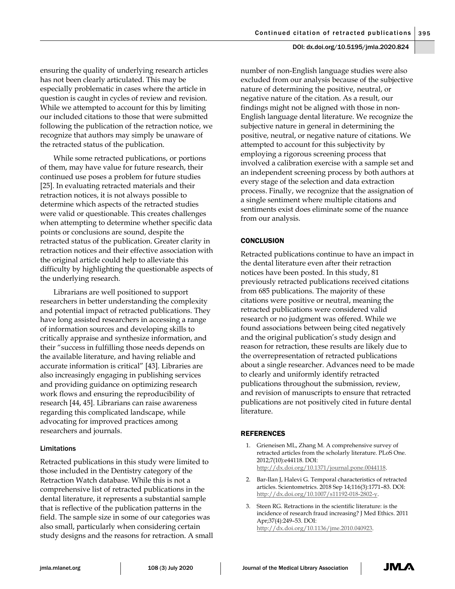ensuring the quality of underlying research articles has not been clearly articulated. This may be especially problematic in cases where the article in question is caught in cycles of review and revision. While we attempted to account for this by limiting our included citations to those that were submitted following the publication of the retraction notice, we recognize that authors may simply be unaware of the retracted status of the publication.

While some retracted publications, or portions of them, may have value for future research, their continued use poses a problem for future studies [25]. In evaluating retracted materials and their retraction notices, it is not always possible to determine which aspects of the retracted studies were valid or questionable. This creates challenges when attempting to determine whether specific data points or conclusions are sound, despite the retracted status of the publication. Greater clarity in retraction notices and their effective association with the original article could help to alleviate this difficulty by highlighting the questionable aspects of the underlying research.

Librarians are well positioned to support researchers in better understanding the complexity and potential impact of retracted publications. They have long assisted researchers in accessing a range of information sources and developing skills to critically appraise and synthesize information, and their "success in fulfilling those needs depends on the available literature, and having reliable and accurate information is critical" [43]. Libraries are also increasingly engaging in publishing services and providing guidance on optimizing research work flows and ensuring the reproducibility of research [44, 45]. Librarians can raise awareness regarding this complicated landscape, while advocating for improved practices among researchers and journals.

## Limitations

Retracted publications in this study were limited to those included in the Dentistry category of the Retraction Watch database. While this is not a comprehensive list of retracted publications in the dental literature, it represents a substantial sample that is reflective of the publication patterns in the field. The sample size in some of our categories was also small, particularly when considering certain study designs and the reasons for retraction. A small number of non-English language studies were also excluded from our analysis because of the subjective nature of determining the positive, neutral, or negative nature of the citation. As a result, our findings might not be aligned with those in non-English language dental literature. We recognize the subjective nature in general in determining the positive, neutral, or negative nature of citations. We attempted to account for this subjectivity by employing a rigorous screening process that involved a calibration exercise with a sample set and an independent screening process by both authors at every stage of the selection and data extraction process. Finally, we recognize that the assignation of a single sentiment where multiple citations and sentiments exist does eliminate some of the nuance from our analysis.

# **CONCLUSION**

Retracted publications continue to have an impact in the dental literature even after their retraction notices have been posted. In this study, 81 previously retracted publications received citations from 685 publications. The majority of these citations were positive or neutral, meaning the retracted publications were considered valid research or no judgment was offered. While we found associations between being cited negatively and the original publication's study design and reason for retraction, these results are likely due to the overrepresentation of retracted publications about a single researcher. Advances need to be made to clearly and uniformly identify retracted publications throughout the submission, review, and revision of manuscripts to ensure that retracted publications are not positively cited in future dental literature.

## **REFERENCES**

- 1. Grieneisen ML, Zhang M. A comprehensive survey of retracted articles from the scholarly literature. PLoS One. 2012;7(10):e44118. DOI: [http://dx.doi.org/10.1371/journal.pone.0044118.](http://dx.doi.org/10.1371/journal.pone.0044118)
- 2. Bar-Ilan J, Halevi G. Temporal characteristics of retracted articles. Scientometrics. 2018 Sep 14;116(3):1771–83. DOI: [http://dx.doi.org/10.1007/s11192-018-2802-y.](http://dx.doi.org/10.1007/s11192-018-2802-y)
- 3. Steen RG. Retractions in the scientific literature: is the incidence of research fraud increasing? J Med Ethics. 2011 Apr;37(4):249–53. DOI: [http://dx.doi.org/10.1136/jme.2010.040923.](http://dx.doi.org/10.1136/jme.2010.040923)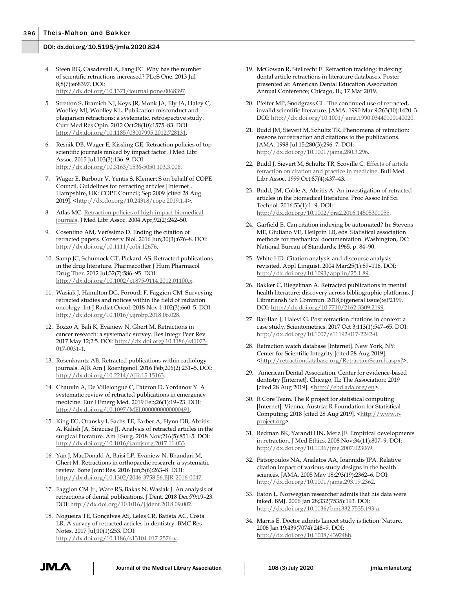- 4. Steen RG, Casadevall A, Fang FC. Why has the number of scientific retractions increased? PLoS One. 2013 Jul 8;8(7):e68397. DOI: [http://dx.doi.org/10.1371/journal.pone.0068397.](http://dx.doi.org/10.1371/journal.pone.0068397)
- 5. Stretton S, Bramich NJ, Keys JR, Monk JA, Ely JA, Haley C, Woolley MJ, Woolley KL. Publication misconduct and plagiarism retractions: a systematic, retrospective study. Curr Med Res Opin. 2012 Oct;28(10):1575–83. DOI: [http://dx.doi.org/10.1185/03007995.2012.728131.](http://dx.doi.org/10.1185/03007995.2012.728131)
- 6. Resnik DB, Wager E, Kissling GE. Retraction policies of top scientific journals ranked by impact factor. J Med Libr Assoc. 2015 Jul;103(3):136–9. DOI: [http://dx.doi.org/10.3163/1536-5050.103.3.006.](http://dx.doi.org/10.3163/1536-5050.103.3.006)
- 7. Wager E, Barbour V, Yentis S, Kleinert S on behalf of COPE Council. Guidelines for retracting articles [Internet]. Hampshire, UK: COPE Council; Sep 2009 [cited 28 Aug 2019]. [<http://dx.doi.org/10.24318/cope.2019.1.4>](http://dx.doi.org/10.24318/cope.2019.1.4).
- 8. Atlas MC[. Retraction policies of high-impact biomedical](https://www.ncbi.nlm.nih.gov/pmc/articles/PMC385306/)  [journals.](https://www.ncbi.nlm.nih.gov/pmc/articles/PMC385306/) J Med Libr Assoc. 2004 Apr;92(2):242–50.
- 9. Cosentino AM, Veríssimo D. Ending the citation of retracted papers. Conserv Biol. 2016 Jun;30(3):676–8. DOI: [http://dx.doi.org/10.1111/cobi.12676.](http://dx.doi.org/10.1111/cobi.12676)
- 10. Samp JC, Schumock GT, Pickard AS. Retracted publications in the drug literature. Pharmacother J Hum Pharmacol Drug Ther. 2012 Jul;32(7):586–95. DOI: [http://dx.doi.org/10.1002/j.1875-9114.2012.01100.x.](http://dx.doi.org/10.1002/j.1875-9114.2012.01100.x)
- 11. Wasiak J, Hamilton DG, Foroudi F, Faggion CM. Surveying retracted studies and notices within the field of radiation oncology. Int J Radiat Oncol. 2018 Nov 1;102(3):660–5. DOI: [http://dx.doi.org/10.1016/j.ijrobp.2018.06.028.](http://dx.doi.org/10.1016/j.ijrobp.2018.06.028)
- 12. Bozzo A, Bali K, Evaniew N, Ghert M. Retractions in cancer research: a systematic survey. Res Integr Peer Rev. 2017 May 12;2:5. DOI: [http://dx.doi.org/10.1186/s41073-](http://dx.doi.org/10.1186/s41073-017-0031-1) [017-0031-1.](http://dx.doi.org/10.1186/s41073-017-0031-1)
- 13. Rosenkrantz AB. Retracted publications within radiology journals. AJR Am J Roentgenol. 2016 Feb;206(2):231–5. DOI: [http://dx.doi.org/10.2214/AJR.15.15163.](http://dx.doi.org/10.2214/AJR.15.15163)
- 14. Chauvin A, De Villelongue C, Pateron D, Yordanov Y. A systematic review of retracted publications in emergency medicine. Eur J Emerg Med. 2019 Feb;26(1):19–23. DOI: [http://dx.doi.org/10.1097/MEJ.0000000000000491.](http://dx.doi.org/10.1097/MEJ.0000000000000491)
- 15. King EG, Oransky I, Sachs TE, Farber A, Flynn DB, Abritis A, Kalish JA, Siracuse JJ. Analysis of retracted articles in the surgical literature. Am J Surg. 2018 Nov;216(5):851–5. DOI: [http://dx.doi.org/10.1016/j.amjsurg.2017.11.033.](http://dx.doi.org/10.1016/j.amjsurg.2017.11.033)
- 16. Yan J, MacDonald A, Baisi LP, Evaniew N, Bhandari M, Ghert M. Retractions in orthopaedic research: a systematic review. Bone Joint Res. 2016 Jun;5(6):263–8. DOI: [http://dx.doi.org/10.1302/2046-3758.56.BJR-2016-0047.](http://dx.doi.org/10.1302/2046-3758.56.BJR-2016-0047)
- 17. Faggion CM Jr., Ware RS, Bakas N, Wasiak J. An analysis of retractions of dental publications. J Dent. 2018 Dec;79:19–23. DOI: [http://dx.doi.org/10.1016/j.jdent.2018.09.002.](http://dx.doi.org/10.1016/j.jdent.2018.09.002)
- 18. Nogueira TE, Gonçalves AS, Leles CR, Batista AC, Costa LR. A survey of retracted articles in dentistry. BMC Res Notes. 2017 Jul;10(1):253. DOI: [http://dx.doi.org/10.1186/s13104-017-2576-y.](http://dx.doi.org/10.1186/s13104-017-2576-y)
- 19. McGowan R, Stellrecht E. Retraction tracking: indexing dental article retractions in literature databases. Poster presented at: American Dental Education Association Annual Conference; Chicago, IL; 17 Mar 2019.
- 20. Pfeifer MP, Snodgrass GL. The continued use of retracted, invalid scientific literature. JAMA. 1990 Mar 9;263(10):1420–3. DOI: [http://dx.doi.org/10.1001/jama.1990.03440100140020.](http://dx.doi.org/10.1001/jama.1990.03440100140020)
- 21. Budd JM, Sievert M, Schultz TR. Phenomena of retraction: reasons for retraction and citations to the publications. JAMA. 1998 Jul 15;280(3):296–7. DOI: [http://dx.doi.org/10.1001/jama.280.3.296.](http://dx.doi.org/10.1001/jama.280.3.296)
- 22. Budd J, Sievert M, Schultz TR, Scoville C. Effects of article [retraction on citation and practice in medicine.](https://www.ncbi.nlm.nih.gov/pmc/articles/PMC226618/) Bull Med Libr Assoc. 1999 Oct;87(4):437–43.
- 23. Budd, JM, Coble A, Abritis A. An investigation of retracted articles in the biomedical literature. Proc Assoc Inf Sci Technol. 2016:53(1):1–9. DOI: [http://dx.doi.org/10.1002/pra2.2016.14505301055.](http://dx.doi.org/10.1002/pra2.2016.14505301055)
- 24. Garfield E. Can citation indexing be automated? In: Stevens ME, Giuliano VE, Heilprin LB, eds. Statistical association methods for mechanical documentation. Washington, DC: National Bureau of Standards; 1965. p. 84–90.
- 25. White HD. Citation analysis and discourse analysis revisited. Appl Linguist. 2004 Mar;25(1):89–116. DOI: [http://dx.doi.org/10.1093/applin/25.1.89.](http://dx.doi.org/10.1093/applin/25.1.89)
- 26. Bakker C, Riegelman A. Retracted publications in mental health literature: discovery across bibliographic platforms. J Librariansh Sch Commun. 2018;6(general issue):eP2199. DOI: [http://dx.doi.org/10.7710/2162-3309.2199.](http://dx.doi.org/10.7710/2162-3309.2199)
- 27. Bar-Ilan J, Halevi G. Post retraction citations in context: a case study. Scientometrics. 2017 Oct 3;113(1):547–65. DOI: [http://dx.doi.org/10.1007/s11192-017-2242-0.](http://dx.doi.org/10.1007/s11192-017-2242-0)
- 28. Retraction watch database [Internet]. New York, NY: Center for Scientific Integrity [cited 28 Aug 2019]. [<http://retractiondatabase.org/RetractionSearch.aspx?>](http://retractiondatabase.org/RetractionSearch.aspx?).
- 29. American Dental Association. Center for evidence-based dentistry [Internet]. Chicago, IL: The Association; 2019 [cited 28 Aug 2019]. [<http://ebd.ada.org/en>](http://ebd.ada.org/en).
- 30. R Core Team. The R project for statistical computing [Internet]. Vienna, Austria: R Foundation for Statistical Computing; 2018 [cited 28 Aug 2019]. [<http://www.r](http://www.r-project.org/)[project.org>](http://www.r-project.org/).
- 31. Redman BK, Yarandi HN, Merz JF. Empirical developments in retraction. J Med Ethics. 2008 Nov;34(11):807–9. DOI: [http://dx.doi.org/10.1136/jme.2007.023069.](http://dx.doi.org/10.1136/jme.2007.023069)
- 32. Patsopoulos NA, Analatos AA, Ioannidis JPA. Relative citation impact of various study designs in the health sciences. JAMA. 2005 May 18;293(19):2362–6. DOI: [http://dx.doi.org/10.1001/jama.293.19.2362.](http://dx.doi.org/10.1001/jama.293.19.2362)
- 33. Eaton L. Norwegian researcher admits that his data were faked. BMJ. 2006 Jan 28;332(7535):193. DOI: [http://dx.doi.org/10.1136/bmj.332.7535.193-a.](http://dx.doi.org/10.1136/bmj.332.7535.193-a)
- 34. Marris E. Doctor admits Lancet study is fiction. Nature. 2006 Jan 19;439(7074):248–9. DOI: [http://dx.doi.org/10.1038/439248b.](http://dx.doi.org/10.1038/439248b)